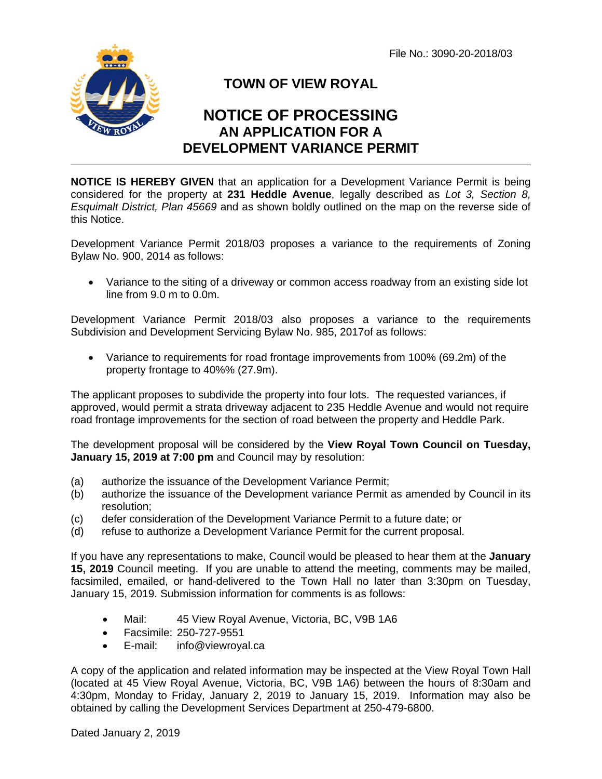File No.: 3090-20-2018/03



## **TOWN OF VIEW ROYAL**

## **NOTICE OF PROCESSING AN APPLICATION FOR A DEVELOPMENT VARIANCE PERMIT**

**NOTICE IS HEREBY GIVEN** that an application for a Development Variance Permit is being considered for the property at **231 Heddle Avenue**, legally described as *Lot 3, Section 8, Esquimalt District, Plan 45669* and as shown boldly outlined on the map on the reverse side of this Notice.

Development Variance Permit 2018/03 proposes a variance to the requirements of Zoning Bylaw No. 900, 2014 as follows:

 Variance to the siting of a driveway or common access roadway from an existing side lot line from 9.0 m to 0.0m.

Development Variance Permit 2018/03 also proposes a variance to the requirements Subdivision and Development Servicing Bylaw No. 985, 2017of as follows:

 Variance to requirements for road frontage improvements from 100% (69.2m) of the property frontage to 40%% (27.9m).

The applicant proposes to subdivide the property into four lots. The requested variances, if approved, would permit a strata driveway adjacent to 235 Heddle Avenue and would not require road frontage improvements for the section of road between the property and Heddle Park.

The development proposal will be considered by the **View Royal Town Council on Tuesday, January 15, 2019 at 7:00 pm** and Council may by resolution:

- (a) authorize the issuance of the Development Variance Permit;
- (b) authorize the issuance of the Development variance Permit as amended by Council in its resolution;
- (c) defer consideration of the Development Variance Permit to a future date; or
- (d) refuse to authorize a Development Variance Permit for the current proposal.

If you have any representations to make, Council would be pleased to hear them at the **January 15, 2019** Council meeting. If you are unable to attend the meeting, comments may be mailed, facsimiled, emailed, or hand-delivered to the Town Hall no later than 3:30pm on Tuesday, January 15, 2019. Submission information for comments is as follows:

- Mail: 45 View Royal Avenue, Victoria, BC, V9B 1A6
- Facsimile: 250-727-9551
- E-mail: info@viewroyal.ca

A copy of the application and related information may be inspected at the View Royal Town Hall (located at 45 View Royal Avenue, Victoria, BC, V9B 1A6) between the hours of 8:30am and 4:30pm, Monday to Friday, January 2, 2019 to January 15, 2019. Information may also be obtained by calling the Development Services Department at 250-479-6800.